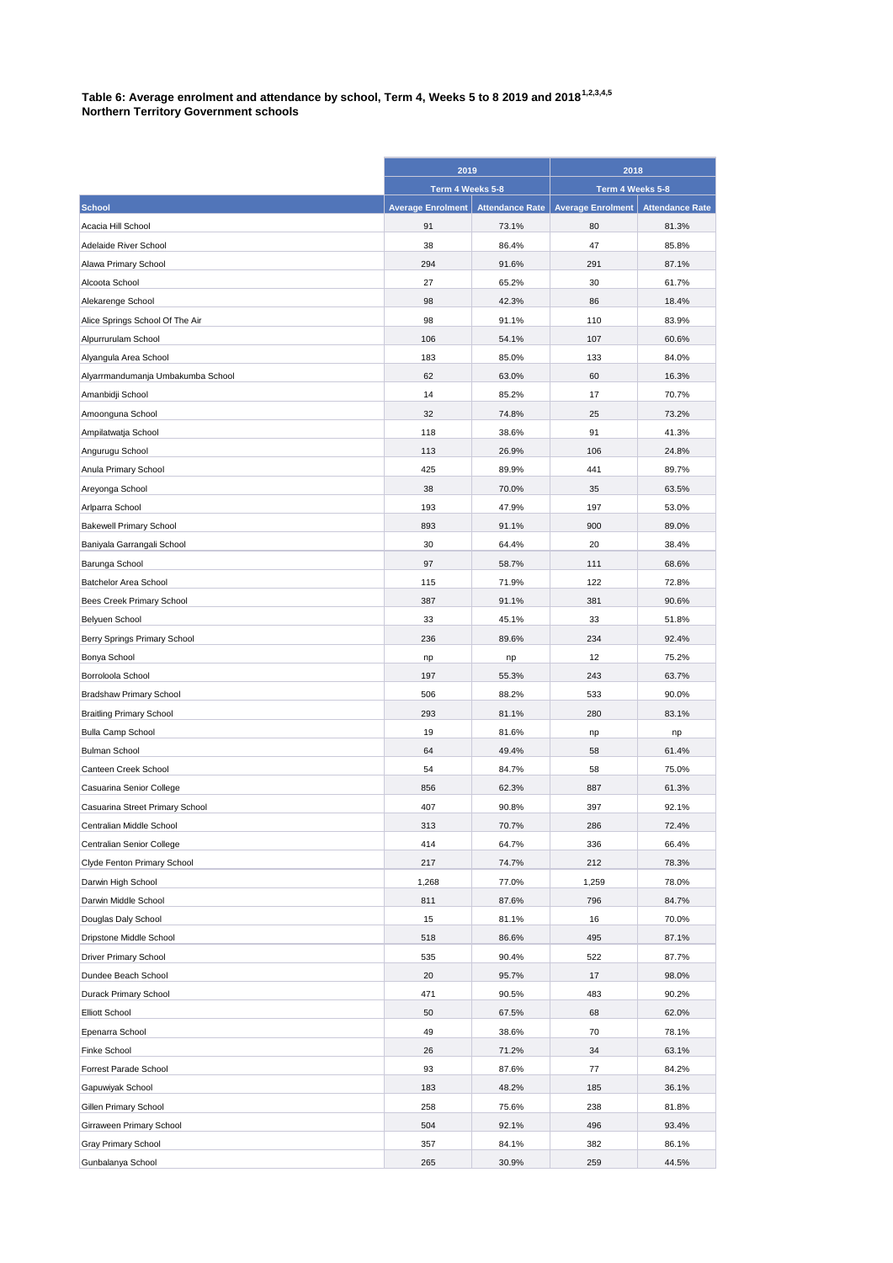## **Table 6: Average enrolment and attendance by school, Term 4, Weeks 5 to 8 2019 and 20181,2,3,4,5 Northern Territory Government schools**

|                                   | 2019                     |                        | 2018                     |                        |
|-----------------------------------|--------------------------|------------------------|--------------------------|------------------------|
|                                   | Term 4 Weeks 5-8         |                        | Term 4 Weeks 5-8         |                        |
| <b>School</b>                     | <b>Average Enrolment</b> | <b>Attendance Rate</b> | <b>Average Enrolment</b> | <b>Attendance Rate</b> |
| Acacia Hill School                | 91                       | 73.1%                  | 80                       | 81.3%                  |
| Adelaide River School             | 38                       | 86.4%                  | 47                       | 85.8%                  |
| Alawa Primary School              | 294                      | 91.6%                  | 291                      | 87.1%                  |
| Alcoota School                    | 27                       | 65.2%                  | 30                       | 61.7%                  |
| Alekarenge School                 | 98                       | 42.3%                  | 86                       | 18.4%                  |
| Alice Springs School Of The Air   | 98                       | 91.1%                  | 110                      | 83.9%                  |
| Alpurrurulam School               | 106                      | 54.1%                  | 107                      | 60.6%                  |
| Alyangula Area School             | 183                      | 85.0%                  | 133                      | 84.0%                  |
| Alyarrmandumanja Umbakumba School | 62                       | 63.0%                  | 60                       | 16.3%                  |
| Amanbidji School                  | 14                       | 85.2%                  | 17                       | 70.7%                  |
| Amoonguna School                  | 32                       | 74.8%                  | 25                       | 73.2%                  |
| Ampilatwatja School               | 118                      | 38.6%                  | 91                       | 41.3%                  |
| Angurugu School                   | 113                      | 26.9%                  | 106                      | 24.8%                  |
| Anula Primary School              | 425                      | 89.9%                  | 441                      | 89.7%                  |
| Areyonga School                   | 38                       | 70.0%                  | 35                       | 63.5%                  |
| Arlparra School                   | 193                      | 47.9%                  | 197                      | 53.0%                  |
| <b>Bakewell Primary School</b>    | 893                      | 91.1%                  | 900                      | 89.0%                  |
| Baniyala Garrangali School        | 30                       | 64.4%                  | 20                       | 38.4%                  |
| Barunga School                    | 97                       | 58.7%                  | 111                      | 68.6%                  |
| Batchelor Area School             | 115                      | 71.9%                  | 122                      | 72.8%                  |
| Bees Creek Primary School         | 387                      | 91.1%                  | 381                      | 90.6%                  |
| Belyuen School                    | 33                       | 45.1%                  | 33                       | 51.8%                  |
| Berry Springs Primary School      | 236                      | 89.6%                  | 234                      | 92.4%                  |
| Bonya School                      | np                       | np                     | 12                       | 75.2%                  |
| Borroloola School                 | 197                      | 55.3%                  | 243                      | 63.7%                  |
| <b>Bradshaw Primary School</b>    | 506                      | 88.2%                  | 533                      | 90.0%                  |
| <b>Braitling Primary School</b>   | 293                      | 81.1%                  | 280                      | 83.1%                  |
| <b>Bulla Camp School</b>          | 19                       | 81.6%                  | np                       | np                     |
| <b>Bulman School</b>              | 64                       | 49.4%                  | 58                       | 61.4%                  |
| Canteen Creek School              | 54                       | 84.7%                  | 58                       | 75.0%                  |
| Casuarina Senior College          | 856                      | 62.3%                  | 887                      | 61.3%                  |
| Casuarina Street Primary School   | 407                      | 90.8%                  | 397                      | 92.1%                  |
| Centralian Middle School          | 313                      | 70.7%                  | 286                      | 72.4%                  |
| Centralian Senior College         | 414                      | 64.7%                  | 336                      | 66.4%                  |
| Clyde Fenton Primary School       | 217                      | 74.7%                  | 212                      | 78.3%                  |
| Darwin High School                | 1,268                    | 77.0%                  | 1,259                    | 78.0%                  |
| Darwin Middle School              | 811                      | 87.6%                  | 796                      | 84.7%                  |
| Douglas Daly School               | 15                       | 81.1%                  | 16                       | 70.0%                  |
| Dripstone Middle School           | 518                      | 86.6%                  | 495                      | 87.1%                  |
| Driver Primary School             | 535                      | 90.4%                  | 522                      | 87.7%                  |
| Dundee Beach School               | 20                       | 95.7%                  | 17                       | 98.0%                  |
| Durack Primary School             | 471                      | 90.5%                  | 483                      | 90.2%                  |
| <b>Elliott School</b>             | 50                       | 67.5%                  | 68                       | 62.0%                  |
| Epenarra School                   | 49                       | 38.6%                  | 70                       | 78.1%                  |
| Finke School                      | 26                       | 71.2%                  | 34                       | 63.1%                  |
| Forrest Parade School             | 93                       | 87.6%                  | 77                       | 84.2%                  |
| Gapuwiyak School                  | 183                      | 48.2%                  | 185                      | 36.1%                  |
| Gillen Primary School             | 258                      | 75.6%                  | 238                      | 81.8%                  |
| Girraween Primary School          | 504                      | 92.1%                  | 496                      | 93.4%                  |
| Gray Primary School               | 357                      | 84.1%                  | 382                      | 86.1%                  |
| Gunbalanya School                 | 265                      | 30.9%                  | 259                      | 44.5%                  |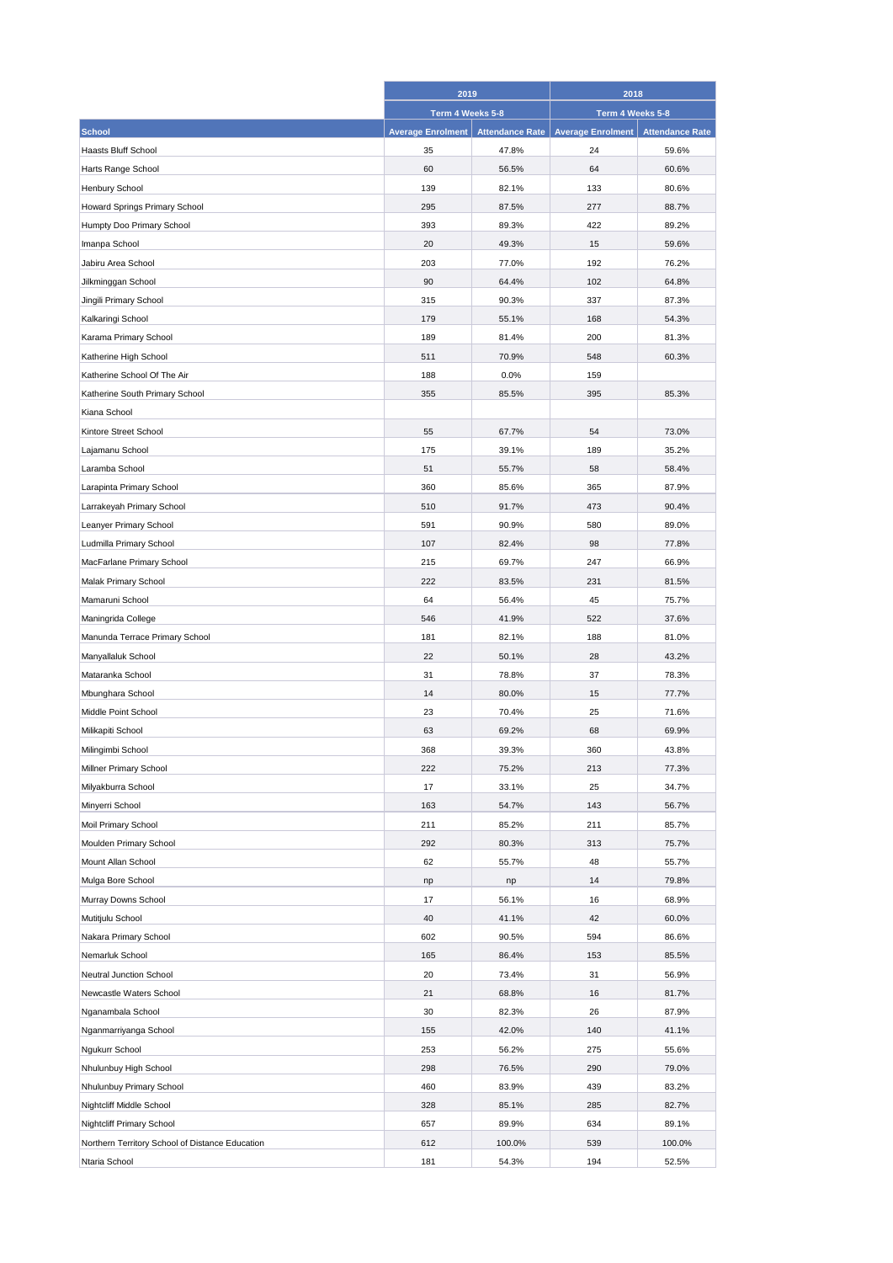|                                                 | 2019                     |                        | 2018                     |                        |
|-------------------------------------------------|--------------------------|------------------------|--------------------------|------------------------|
|                                                 | Term 4 Weeks 5-8         |                        | Term 4 Weeks 5-8         |                        |
| <b>School</b>                                   | <b>Average Enrolment</b> | <b>Attendance Rate</b> | <b>Average Enrolment</b> | <b>Attendance Rate</b> |
| <b>Haasts Bluff School</b>                      | 35                       | 47.8%                  | 24                       | 59.6%                  |
| Harts Range School                              | 60                       | 56.5%                  | 64                       | 60.6%                  |
| Henbury School                                  | 139                      | 82.1%                  | 133                      | 80.6%                  |
| Howard Springs Primary School                   | 295                      | 87.5%                  | 277                      | 88.7%                  |
| Humpty Doo Primary School                       | 393                      | 89.3%                  | 422                      | 89.2%                  |
| Imanpa School                                   | 20                       | 49.3%                  | 15                       | 59.6%                  |
| Jabiru Area School                              | 203                      | 77.0%                  | 192                      | 76.2%                  |
| Jilkminggan School                              | 90                       | 64.4%                  | 102                      | 64.8%                  |
| Jingili Primary School                          | 315                      | 90.3%                  | 337                      | 87.3%                  |
| Kalkaringi School                               | 179                      | 55.1%                  | 168                      | 54.3%                  |
| Karama Primary School                           | 189                      | 81.4%                  | 200                      | 81.3%                  |
| Katherine High School                           | 511                      | 70.9%                  | 548                      | 60.3%                  |
| Katherine School Of The Air                     | 188                      | 0.0%                   | 159                      |                        |
| Katherine South Primary School                  | 355                      | 85.5%                  | 395                      | 85.3%                  |
| Kiana School                                    |                          |                        |                          |                        |
| Kintore Street School                           | 55                       | 67.7%                  | 54                       | 73.0%                  |
| Lajamanu School                                 | 175                      | 39.1%                  | 189                      | 35.2%                  |
| Laramba School                                  | 51                       | 55.7%                  | 58                       | 58.4%                  |
| Larapinta Primary School                        | 360                      | 85.6%                  | 365                      | 87.9%                  |
| Larrakeyah Primary School                       | 510                      | 91.7%                  | 473                      | 90.4%                  |
| Leanyer Primary School                          | 591                      | 90.9%                  | 580                      | 89.0%                  |
| Ludmilla Primary School                         | 107                      | 82.4%                  | 98                       | 77.8%                  |
| MacFarlane Primary School                       | 215                      | 69.7%                  | 247                      | 66.9%                  |
| Malak Primary School                            | 222                      | 83.5%                  | 231                      | 81.5%                  |
|                                                 | 64                       |                        |                          |                        |
| Mamaruni School<br>Maningrida College           | 546                      | 56.4%<br>41.9%         | 45<br>522                | 75.7%<br>37.6%         |
|                                                 | 181                      | 82.1%                  | 188                      | 81.0%                  |
| Manunda Terrace Primary School                  | 22                       | 50.1%                  | 28                       | 43.2%                  |
| Manyallaluk School                              |                          |                        |                          |                        |
| Mataranka School                                | 31<br>14                 | 78.8%                  | 37<br>15                 | 78.3%                  |
| Mbunghara School<br>Middle Point School         | 23                       | 80.0%<br>70.4%         | 25                       | 77.7%<br>71.6%         |
|                                                 |                          |                        |                          |                        |
| Milikapiti School<br>Milingimbi School          | 63                       | 69.2%                  | 68                       | 69.9%                  |
|                                                 | 368                      | 39.3%                  | 360                      | 43.8%                  |
| Millner Primary School                          | 222                      | 75.2%                  | 213                      | 77.3%                  |
| Milyakburra School                              | 17                       | 33.1%                  | 25                       | 34.7%                  |
| Minyerri School                                 | 163                      | 54.7%                  | 143                      | 56.7%                  |
| Moil Primary School                             | 211                      | 85.2%                  | 211                      | 85.7%                  |
| Moulden Primary School                          | 292                      | 80.3%                  | 313                      | 75.7%                  |
| Mount Allan School                              | 62                       | 55.7%                  | 48                       | 55.7%                  |
| Mulga Bore School                               | np                       | np                     | 14                       | 79.8%                  |
| Murray Downs School                             | 17                       | 56.1%                  | 16                       | 68.9%                  |
| Mutitjulu School                                | 40                       | 41.1%                  | 42                       | 60.0%                  |
| Nakara Primary School                           | 602                      | 90.5%                  | 594                      | 86.6%                  |
| Nemarluk School                                 | 165                      | 86.4%                  | 153                      | 85.5%                  |
| Neutral Junction School                         | 20                       | 73.4%                  | 31                       | 56.9%                  |
| Newcastle Waters School                         | 21                       | 68.8%                  | 16                       | 81.7%                  |
| Nganambala School                               | 30                       | 82.3%                  | 26                       | 87.9%                  |
| Nganmarriyanga School                           | 155                      | 42.0%                  | 140                      | 41.1%                  |
| Ngukurr School                                  | 253                      | 56.2%                  | 275                      | 55.6%                  |
| Nhulunbuy High School                           | 298                      | 76.5%                  | 290                      | 79.0%                  |
| Nhulunbuy Primary School                        | 460                      | 83.9%                  | 439                      | 83.2%                  |
| Nightcliff Middle School                        | 328                      | 85.1%                  | 285                      | 82.7%                  |
| Nightcliff Primary School                       | 657                      | 89.9%                  | 634                      | 89.1%                  |
| Northern Territory School of Distance Education | 612                      | 100.0%                 | 539                      | 100.0%                 |
| Ntaria School                                   | 181                      | 54.3%                  | 194                      | 52.5%                  |